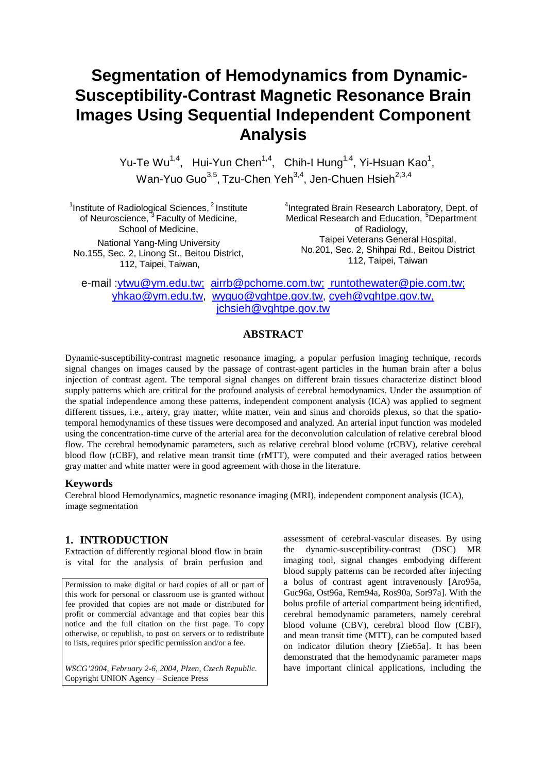# **Segmentation of Hemodynamics from Dynamic-Susceptibility-Contrast Magnetic Resonance Brain Images Using Sequential Independent Component Analysis**

Yu-Te Wu<sup>1,4</sup>, Hui-Yun Chen<sup>1,4</sup>, Chih-I Hung<sup>1,4</sup>, Yi-Hsuan Kao<sup>1</sup>, Wan-Yuo Guo<sup>3,5</sup>, Tzu-Chen Yeh<sup>3,4</sup>, Jen-Chuen Hsieh<sup>2,3,4</sup>

<sup>1</sup> Institute of Radiological Sciences,  $2$  Institute of Neuroscience, <sup>3</sup> Faculty of Medicine, School of Medicine, National Yang-Ming University

No.155, Sec. 2, Linong St., Beitou District, 112, Taipei, Taiwan,

<sup>4</sup>Integrated Brain Research Laboratory, Dept. of Medical Research and Education, <sup>5</sup>Department of Radiology, Taipei Veterans General Hospital, No.201, Sec. 2, Shihpai Rd., Beitou District 112, Taipei, Taiwan

e-mail :ytwu@ym.edu.tw; [airrb@pchome.com.tw;](mailto:airrb@pchome.com.tw) [runtothewater@pie.com.tw;](mailto: runtothewater@pie.com.tw) yhkao@ym.edu.tw, [wyguo@vghtpe.gov.tw,](mailto:wyguo@vghtpe.gov.tw) cyeh@vghtpe.gov.tw, [jchsieh@vghtpe.gov.tw](http://pie.com.tw/cgi-bin/genMail?m=1006797740&adr=jchsieh@vghtpe.gov.tw) 

## **ABSTRACT**

Dynamic-susceptibility-contrast magnetic resonance imaging, a popular perfusion imaging technique, records signal changes on images caused by the passage of contrast-agent particles in the human brain after a bolus injection of contrast agent. The temporal signal changes on different brain tissues characterize distinct blood supply patterns which are critical for the profound analysis of cerebral hemodynamics. Under the assumption of the spatial independence among these patterns, independent component analysis (ICA) was applied to segment different tissues, i.e., artery, gray matter, white matter, vein and sinus and choroids plexus, so that the spatiotemporal hemodynamics of these tissues were decomposed and analyzed. An arterial input function was modeled using the concentration-time curve of the arterial area for the deconvolution calculation of relative cerebral blood flow. The cerebral hemodynamic parameters, such as relative cerebral blood volume (rCBV), relative cerebral blood flow (rCBF), and relative mean transit time (rMTT), were computed and their averaged ratios between gray matter and white matter were in good agreement with those in the literature.

#### **Keywords**

Cerebral blood Hemodynamics, magnetic resonance imaging (MRI), independent component analysis (ICA), image segmentation

#### **1. INTRODUCTION**

Extraction of differently regional blood flow in brain is vital for the analysis of brain perfusion and

Permission to make digital or hard copies of all or part of this work for personal or classroom use is granted without fee provided that copies are not made or distributed for profit or commercial advantage and that copies bear this notice and the full citation on the first page. To copy otherwise, or republish, to post on servers or to redistribute to lists, requires prior specific permission and/or a fee.

*WSCG'2004, February 2-6, 2004, Plzen, Czech Republic.*  Copyright UNION Agency – Science Press

assessment of cerebral-vascular diseases. By using the dynamic-susceptibility-contrast (DSC) MR imaging tool, signal changes embodying different blood supply patterns can be recorded after injecting a bolus of contrast agent intravenously [Aro95a, Guc96a, Ost96a, Rem94a, Ros90a, Sor97a]. With the bolus profile of arterial compartment being identified, cerebral hemodynamic parameters, namely cerebral blood volume (CBV), cerebral blood flow (CBF), and mean transit time (MTT), can be computed based on indicator dilution theory [Zie65a]. It has been demonstrated that the hemodynamic parameter maps have important clinical applications, including the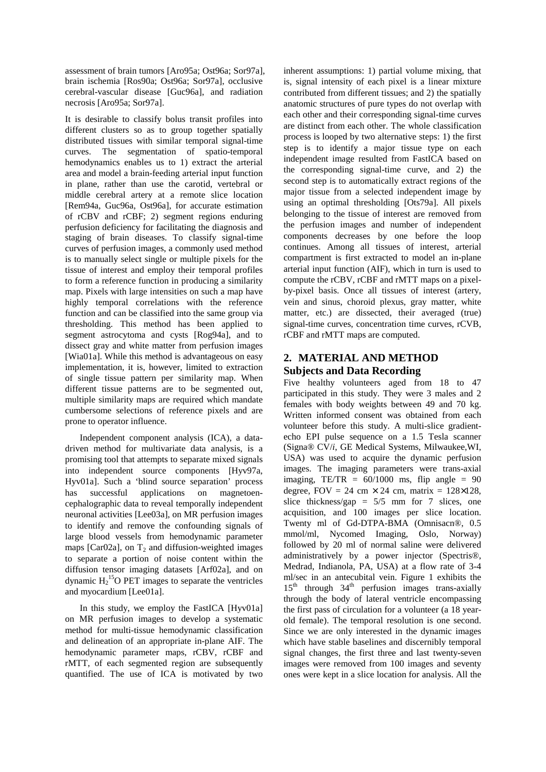assessment of brain tumors [Aro95a; Ost96a; Sor97a], brain ischemia [Ros90a; Ost96a; Sor97a], occlusive cerebral-vascular disease [Guc96a], and radiation necrosis [Aro95a; Sor97a].

It is desirable to classify bolus transit profiles into different clusters so as to group together spatially distributed tissues with similar temporal signal-time curves. The segmentation of spatio-temporal hemodynamics enables us to 1) extract the arterial area and model a brain-feeding arterial input function in plane, rather than use the carotid, vertebral or middle cerebral artery at a remote slice location [Rem94a, Guc96a, Ost96a], for accurate estimation of rCBV and rCBF; 2) segment regions enduring perfusion deficiency for facilitating the diagnosis and staging of brain diseases. To classify signal-time curves of perfusion images, a commonly used method is to manually select single or multiple pixels for the tissue of interest and employ their temporal profiles to form a reference function in producing a similarity map. Pixels with large intensities on such a map have highly temporal correlations with the reference function and can be classified into the same group via thresholding. This method has been applied to segment astrocytoma and cysts [Rog94a], and to dissect gray and white matter from perfusion images [Wia01a]. While this method is advantageous on easy implementation, it is, however, limited to extraction of single tissue pattern per similarity map. When different tissue patterns are to be segmented out, multiple similarity maps are required which mandate cumbersome selections of reference pixels and are prone to operator influence.

Independent component analysis (ICA), a datadriven method for multivariate data analysis, is a promising tool that attempts to separate mixed signals into independent source components [Hyv97a, Hyv01a]. Such a 'blind source separation' process has successful applications on magnetoencephalographic data to reveal temporally independent neuronal activities [Lee03a], on MR perfusion images to identify and remove the confounding signals of large blood vessels from hemodynamic parameter maps [Car02a], on  $T_2$  and diffusion-weighted images to separate a portion of noise content within the diffusion tensor imaging datasets [Arf02a], and on dynamic  $H_2$ <sup>15</sup>O PET images to separate the ventricles and myocardium [Lee01a].

In this study, we employ the FastICA [Hyv01a] on MR perfusion images to develop a systematic method for multi-tissue hemodynamic classification and delineation of an appropriate in-plane AIF. The hemodynamic parameter maps, rCBV, rCBF and rMTT, of each segmented region are subsequently quantified. The use of ICA is motivated by two

inherent assumptions: 1) partial volume mixing, that is, signal intensity of each pixel is a linear mixture contributed from different tissues; and 2) the spatially anatomic structures of pure types do not overlap with each other and their corresponding signal-time curves are distinct from each other. The whole classification process is looped by two alternative steps: 1) the first step is to identify a major tissue type on each independent image resulted from FastICA based on the corresponding signal-time curve, and 2) the second step is to automatically extract regions of the major tissue from a selected independent image by using an optimal thresholding [Ots79a]. All pixels belonging to the tissue of interest are removed from the perfusion images and number of independent components decreases by one before the loop continues. Among all tissues of interest, arterial compartment is first extracted to model an in-plane arterial input function (AIF), which in turn is used to compute the rCBV, rCBF and rMTT maps on a pixelby-pixel basis. Once all tissues of interest (artery, vein and sinus, choroid plexus, gray matter, white matter, etc.) are dissected, their averaged (true) signal-time curves, concentration time curves, rCVB, rCBF and rMTT maps are computed.

# **2. MATERIAL AND METHOD Subjects and Data Recording**

Five healthy volunteers aged from 18 to 47 participated in this study. They were 3 males and 2 females with body weights between 49 and 70 kg. Written informed consent was obtained from each volunteer before this study. A multi-slice gradientecho EPI pulse sequence on a 1.5 Tesla scanner (Signa® CV/*i*, GE Medical Systems, Milwaukee,WI, USA) was used to acquire the dynamic perfusion images. The imaging parameters were trans-axial imaging,  $TE/TR = 60/1000$  ms, flip angle = 90 degree, FOV = 24 cm  $\times$  24 cm, matrix = 128 $\times$ 128, slice thickness/gap =  $5/5$  mm for 7 slices, one acquisition, and 100 images per slice location. Twenty ml of Gd-DTPA-BMA (Omnisacn®, 0.5 mmol/ml, Nycomed Imaging, Oslo, Norway) followed by 20 ml of normal saline were delivered administratively by a power injector (Spectris®, Medrad, Indianola, PA, USA) at a flow rate of 3-4 ml/sec in an antecubital vein. Figure 1 exhibits the  $15<sup>th</sup>$  through  $34<sup>th</sup>$  perfusion images trans-axially through the body of lateral ventricle encompassing the first pass of circulation for a volunteer (a 18 yearold female). The temporal resolution is one second. Since we are only interested in the dynamic images which have stable baselines and discernibly temporal signal changes, the first three and last twenty-seven images were removed from 100 images and seventy ones were kept in a slice location for analysis. All the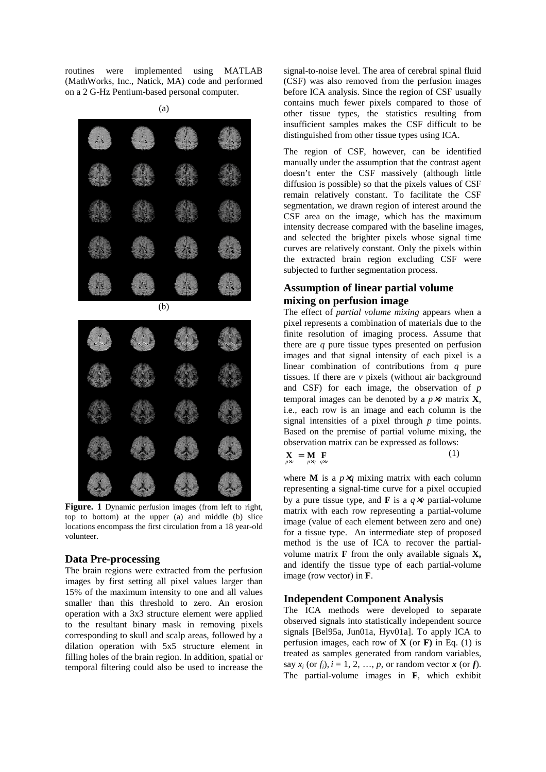routines were implemented using MATLAB (MathWorks, Inc., Natick, MA) code and performed on a 2 G-Hz Pentium-based personal computer.



(a)

Figure. 1 Dynamic perfusion images (from left to right, top to bottom) at the upper (a) and middle (b) slice locations encompass the first circulation from a 18 year-old volunteer.

#### **Data Pre-processing**

The brain regions were extracted from the perfusion images by first setting all pixel values larger than 15% of the maximum intensity to one and all values smaller than this threshold to zero. An erosion operation with a 3x3 structure element were applied to the resultant binary mask in removing pixels corresponding to skull and scalp areas, followed by a dilation operation with 5x5 structure element in filling holes of the brain region. In addition, spatial or temporal filtering could also be used to increase the

signal-to-noise level. The area of cerebral spinal fluid (CSF) was also removed from the perfusion images before ICA analysis. Since the region of CSF usually contains much fewer pixels compared to those of other tissue types, the statistics resulting from insufficient samples makes the CSF difficult to be distinguished from other tissue types using ICA.

The region of CSF, however, can be identified manually under the assumption that the contrast agent doesn't enter the CSF massively (although little diffusion is possible) so that the pixels values of CSF remain relatively constant. To facilitate the CSF segmentation, we drawn region of interest around the CSF area on the image, which has the maximum intensity decrease compared with the baseline images, and selected the brighter pixels whose signal time curves are relatively constant. Only the pixels within the extracted brain region excluding CSF were subjected to further segmentation process.

# **Assumption of linear partial volume mixing on perfusion image**

The effect of *partial volume mixing* appears when a pixel represents a combination of materials due to the finite resolution of imaging process. Assume that there are *q* pure tissue types presented on perfusion images and that signal intensity of each pixel is a linear combination of contributions from *q* pure tissues. If there are  $\nu$  pixels (without air background and CSF) for each image, the observation of *p* temporal images can be denoted by a  $p \times v$  matrix **X**, i.e., each row is an image and each column is the signal intensities of a pixel through *p* time points. Based on the premise of partial volume mixing, the observation matrix can be expressed as follows:

$$
\mathbf{X} = \mathbf{M} \mathbf{F} \qquad (1)
$$

where **M** is a  $p \times q$  mixing matrix with each column representing a signal-time curve for a pixel occupied by a pure tissue type, and **F** is a  $q \times v$  partial-volume matrix with each row representing a partial-volume image (value of each element between zero and one) for a tissue type. An intermediate step of proposed method is the use of ICA to recover the partialvolume matrix  $\bf{F}$  from the only available signals  $\bf{X}$ , and identify the tissue type of each partial-volume image (row vector) in **F**.

#### **Independent Component Analysis**

The ICA methods were developed to separate observed signals into statistically independent source signals [Bel95a, Jun01a, Hyv01a]. To apply ICA to perfusion images, each row of **X** (or **F)** in Eq. (1) is treated as samples generated from random variables, say  $x_i$  (or  $f_i$ ),  $i = 1, 2, ..., p$ , or random vector  $\boldsymbol{x}$  (or  $\boldsymbol{f}$ ). The partial-volume images in **F**, which exhibit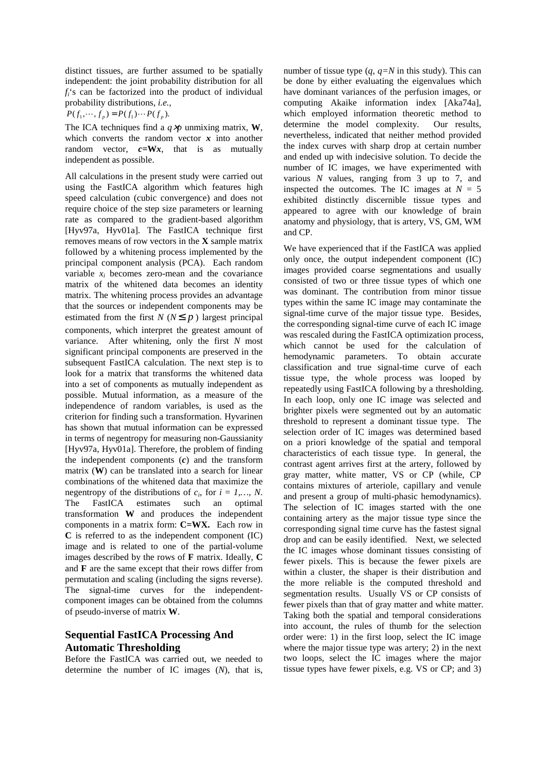distinct tissues, are further assumed to be spatially independent: the joint probability distribution for all *fi*'s can be factorized into the product of individual probability distributions, *i.e.,* 

 $P(f_1, \dots, f_p) = P(f_1) \dots P(f_p).$ 

The ICA techniques find a  $q \times p$  unmixing matrix, **W**, which converts the random vector  $x$  into another random vector,  $c=Wx$ , that is as mutually independent as possible.

All calculations in the present study were carried out using the FastICA algorithm which features high speed calculation (cubic convergence) and does not require choice of the step size parameters or learning rate as compared to the gradient-based algorithm [Hyv97a, Hyv01a]*.* The FastICA technique first removes means of row vectors in the **X** sample matrix followed by a whitening process implemented by the principal component analysis (PCA). Each random variable  $x_i$  becomes zero-mean and the covariance matrix of the whitened data becomes an identity matrix. The whitening process provides an advantage that the sources or independent components may be estimated from the first *N* ( $N \leq p$ ) largest principal components, which interpret the greatest amount of variance. After whitening, only the first *N* most significant principal components are preserved in the subsequent FastICA calculation. The next step is to look for a matrix that transforms the whitened data into a set of components as mutually independent as possible. Mutual information, as a measure of the independence of random variables, is used as the criterion for finding such a transformation. Hyvarinen has shown that mutual information can be expressed in terms of negentropy for measuring non-Gaussianity [Hyv97a, Hyv01a]. Therefore, the problem of finding the independent components (*c*) and the transform matrix (**W**) can be translated into a search for linear combinations of the whitened data that maximize the negentropy of the distributions of  $c_i$ , for  $i = 1,..., N$ . The FastICA estimates such an optimal transformation **W** and produces the independent components in a matrix form: **C=WX.** Each row in **C** is referred to as the independent component (IC) image and is related to one of the partial-volume images described by the rows of **F** matrix. Ideally, **C** and **F** are the same except that their rows differ from permutation and scaling (including the signs reverse). The signal-time curves for the independentcomponent images can be obtained from the columns of pseudo-inverse of matrix **W**.

## **Sequential FastICA Processing And Automatic Thresholding**

Before the FastICA was carried out, we needed to determine the number of IC images (*N*), that is,

number of tissue type (*q*, *q=N* in this study). This can be done by either evaluating the eigenvalues which have dominant variances of the perfusion images, or computing Akaike information index [Aka74a], which employed information theoretic method to determine the model complexity. Our results, nevertheless, indicated that neither method provided the index curves with sharp drop at certain number and ended up with indecisive solution. To decide the number of IC images, we have experimented with various *N* values, ranging from 3 up to 7, and inspected the outcomes. The IC images at  $N = 5$ exhibited distinctly discernible tissue types and appeared to agree with our knowledge of brain anatomy and physiology, that is artery, VS, GM, WM and CP.

We have experienced that if the FastICA was applied only once, the output independent component (IC) images provided coarse segmentations and usually consisted of two or three tissue types of which one was dominant. The contribution from minor tissue types within the same IC image may contaminate the signal-time curve of the major tissue type. Besides, the corresponding signal-time curve of each IC image was rescaled during the FastICA optimization process, which cannot be used for the calculation of hemodynamic parameters. To obtain accurate classification and true signal-time curve of each tissue type, the whole process was looped by repeatedly using FastICA following by a thresholding. In each loop, only one IC image was selected and brighter pixels were segmented out by an automatic threshold to represent a dominant tissue type. The selection order of IC images was determined based on a priori knowledge of the spatial and temporal characteristics of each tissue type. In general, the contrast agent arrives first at the artery, followed by gray matter, white matter, VS or CP (while, CP contains mixtures of arteriole, capillary and venule and present a group of multi-phasic hemodynamics). The selection of IC images started with the one containing artery as the major tissue type since the corresponding signal time curve has the fastest signal drop and can be easily identified. Next, we selected the IC images whose dominant tissues consisting of fewer pixels. This is because the fewer pixels are within a cluster, the shaper is their distribution and the more reliable is the computed threshold and segmentation results. Usually VS or CP consists of fewer pixels than that of gray matter and white matter. Taking both the spatial and temporal considerations into account, the rules of thumb for the selection order were: 1) in the first loop, select the IC image where the major tissue type was artery; 2) in the next two loops, select the IC images where the major tissue types have fewer pixels, e.g. VS or CP; and 3)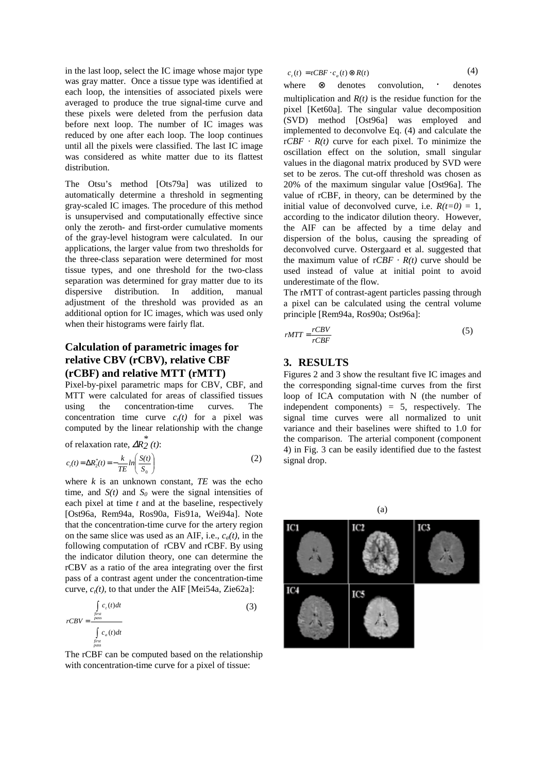in the last loop, select the IC image whose major type was gray matter. Once a tissue type was identified at each loop, the intensities of associated pixels were averaged to produce the true signal-time curve and these pixels were deleted from the perfusion data before next loop. The number of IC images was reduced by one after each loop. The loop continues until all the pixels were classified. The last IC image was considered as white matter due to its flattest distribution.

The Otsu's method [Ots79a] was utilized to automatically determine a threshold in segmenting gray-scaled IC images. The procedure of this method is unsupervised and computationally effective since only the zeroth- and first-order cumulative moments of the gray-level histogram were calculated. In our applications, the larger value from two thresholds for the three-class separation were determined for most tissue types, and one threshold for the two-class separation was determined for gray matter due to its dispersive distribution. In addition, manual adjustment of the threshold was provided as an additional option for IC images, which was used only when their histograms were fairly flat.

# **Calculation of parametric images for relative CBV (rCBV), relative CBF (rCBF) and relative MTT (rMTT)**

Pixel-by-pixel parametric maps for CBV, CBF, and MTT were calculated for areas of classified tissues using the concentration-time curves. The concentration time curve  $c_i(t)$  for a pixel was computed by the linear relationship with the change

of relaxation rate,  $\Delta R_2^*$  (*t*):

$$
c_t(t) = \Delta R_z^*(t) = -\frac{k}{TE} \ln \left( \frac{S(t)}{S_0} \right) \tag{2}
$$

where  $k$  is an unknown constant,  $TE$  was the echo time, and  $S(t)$  and  $S_0$  were the signal intensities of each pixel at time *t* and at the baseline, respectively [Ost96a, Rem94a, Ros90a, Fis91a, Wei94a]. Note that the concentration-time curve for the artery region on the same slice was used as an AIF, i.e.,  $c_a(t)$ , in the following computation of rCBV and rCBF. By using the indicator dilution theory, one can determine the rCBV as a ratio of the area integrating over the first pass of a contrast agent under the concentration-time curve,  $c_t(t)$ , to that under the AIF [Mei54a, Zie62a]:

$$
rcBV = \frac{\int_{\text{first}}^{f_{\text{first}}}}{\int_{\text{first}}^{f_{\text{first}}}} \frac{c_a(t)dt}{\int_{\text{first}}^{f_{\text{first}}}} \tag{3}
$$

The rCBF can be computed based on the relationship with concentration-time curve for a pixel of tissue:

$$
c_{t}(t) = rCBF \cdot c_{a}(t) \otimes R(t)
$$
 (4)

where ⊗ denotes convolution, · denotes multiplication and  $R(t)$  is the residue function for the pixel [Ket60a]. The singular value decomposition (SVD) method [Ost96a] was employed and implemented to deconvolve Eq. (4) and calculate the  $rCBF \cdot R(t)$  curve for each pixel. To minimize the oscillation effect on the solution, small singular values in the diagonal matrix produced by SVD were set to be zeros. The cut-off threshold was chosen as 20% of the maximum singular value [Ost96a]. The value of rCBF, in theory, can be determined by the initial value of deconvolved curve, i.e.  $R(t=0) = 1$ , according to the indicator dilution theory. However, the AIF can be affected by a time delay and dispersion of the bolus, causing the spreading of deconvolved curve. Ostergaard et al. suggested that the maximum value of  $rCBF \cdot R(t)$  curve should be used instead of value at initial point to avoid underestimate of the flow.

The rMTT of contrast-agent particles passing through a pixel can be calculated using the central volume principle [Rem94a, Ros90a; Ost96a]:

$$
rMTT = \frac{rCBV}{rCBF} \tag{5}
$$

#### **3. RESULTS**

Figures 2 and 3 show the resultant five IC images and the corresponding signal-time curves from the first loop of ICA computation with N (the number of independent components)  $= 5$ , respectively. The signal time curves were all normalized to unit variance and their baselines were shifted to 1.0 for the comparison. The arterial component (component 4) in Fig. 3 can be easily identified due to the fastest signal drop.

ICI тез **IC4** IC5

(a)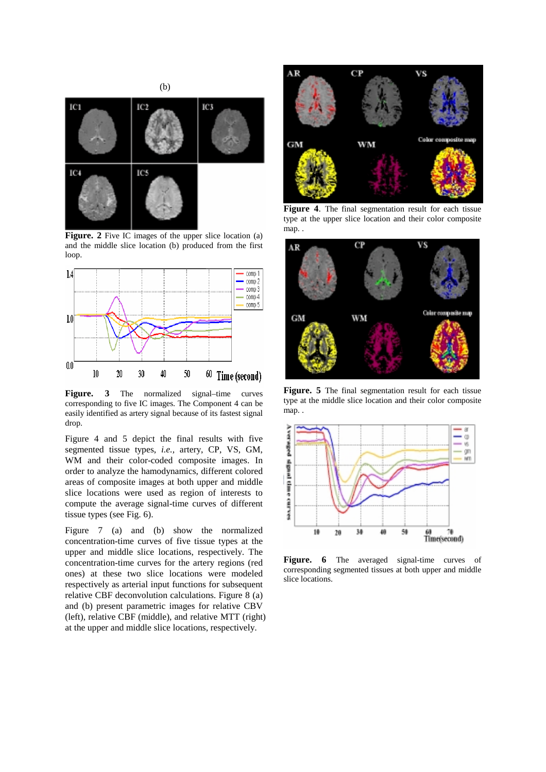

**Figure.** 2 Five IC images of the upper slice location (a) and the middle slice location (b) produced from the first loop.



Figure. 3 The normalized signal–time curves corresponding to five IC images. The Component 4 can be easily identified as artery signal because of its fastest signal drop.

Figure 4 and 5 depict the final results with five segmented tissue types, *i.e.,* artery, CP, VS, GM, WM and their color-coded composite images. In order to analyze the hamodynamics, different colored areas of composite images at both upper and middle slice locations were used as region of interests to compute the average signal-time curves of different tissue types (see Fig. 6).

Figure 7 (a) and (b) show the normalized concentration-time curves of five tissue types at the upper and middle slice locations, respectively. The concentration-time curves for the artery regions (red ones) at these two slice locations were modeled respectively as arterial input functions for subsequent relative CBF deconvolution calculations. Figure 8 (a) and (b) present parametric images for relative CBV (left), relative CBF (middle), and relative MTT (right) at the upper and middle slice locations, respectively.



**Figure 4**. The final segmentation result for each tissue type at the upper slice location and their color composite map. .



**Figure. 5** The final segmentation result for each tissue type at the middle slice location and their color composite map. .



**Figure. 6** The averaged signal-time curves of corresponding segmented tissues at both upper and middle slice locations.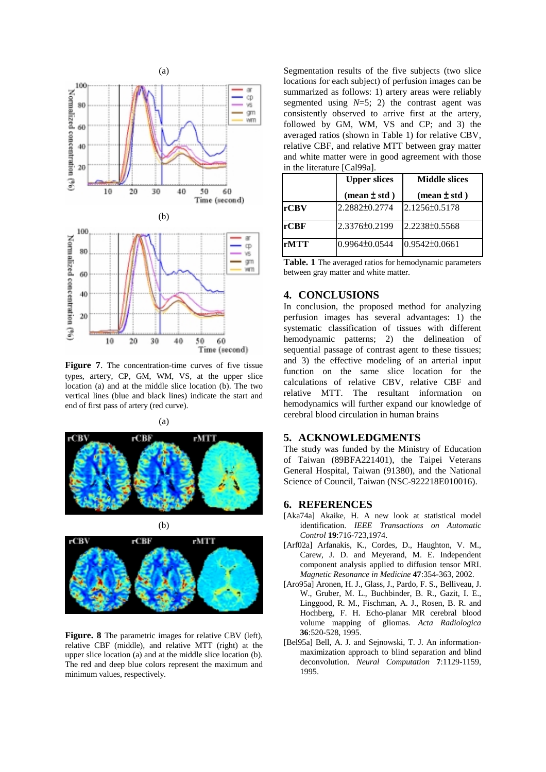

**Figure 7.** The concentration-time curves of five tissue types, artery, CP, GM, WM, VS, at the upper slice location (a) and at the middle slice location (b). The two vertical lines (blue and black lines) indicate the start and end of first pass of artery (red curve).







**Figure. 8** The parametric images for relative CBV (left), relative CBF (middle), and relative MTT (right) at the upper slice location (a) and at the middle slice location (b). The red and deep blue colors represent the maximum and minimum values, respectively.

Segmentation results of the five subjects (two slice locations for each subject) of perfusion images can be summarized as follows: 1) artery areas were reliably segmented using  $N=5$ ; 2) the contrast agent was consistently observed to arrive first at the artery, followed by GM, WM, VS and CP; and 3) the averaged ratios (shown in Table 1) for relative CBV, relative CBF, and relative MTT between gray matter and white matter were in good agreement with those in the literature [Cal99a].

|      | <b>Upper slices</b> | <b>Middle slices</b>           |
|------|---------------------|--------------------------------|
|      | (mean $\pm$ std)    | $(\text{mean} \pm \text{std})$ |
| rCBV | 2.2882±0.2774       | 2.1256±0.5178                  |
| rCBF | 2.3376±0.2199       | 2.2238±0.5568                  |
| rMTT | $0.9964\pm0.0544$   | $0.9542\pm0.0661$              |

**Table. 1** The averaged ratios for hemodynamic parameters between gray matter and white matter.

## **4. CONCLUSIONS**

In conclusion, the proposed method for analyzing perfusion images has several advantages: 1) the systematic classification of tissues with different hemodynamic patterns; 2) the delineation of sequential passage of contrast agent to these tissues: and 3) the effective modeling of an arterial input function on the same slice location for the calculations of relative CBV, relative CBF and relative MTT. The resultant information on hemodynamics will further expand our knowledge of cerebral blood circulation in human brains

## **5. ACKNOWLEDGMENTS**

The study was funded by the Ministry of Education of Taiwan (89BFA221401), the Taipei Veterans General Hospital, Taiwan (91380), and the National Science of Council, Taiwan (NSC-922218E010016).

#### **6. REFERENCES**

- [Aka74a] Akaike, H. A new look at statistical model identification. *IEEE Transactions on Automatic Control* **19**:716-723,1974.
- [Arf02a] Arfanakis, K., Cordes, D., Haughton, V. M., Carew, J. D. and Meyerand, M. E. Independent component analysis applied to diffusion tensor MRI. *Magnetic Resonance in Medicine* **47**:354-363, 2002.
- [Aro95a] Aronen, H. J., Glass, J., Pardo, F. S., Belliveau, J. W., Gruber, M. L., Buchbinder, B. R., Gazit, I. E., Linggood, R. M., Fischman, A. J., Rosen, B. R. and Hochberg, F. H. Echo-planar MR cerebral blood volume mapping of gliomas. *Acta Radiologica* **36**:520-528, 1995.
- [Bel95a] Bell, A. J. and Sejnowski, T. J. An informationmaximization approach to blind separation and blind deconvolution. *Neural Computation* **7**:1129-1159, 1995.